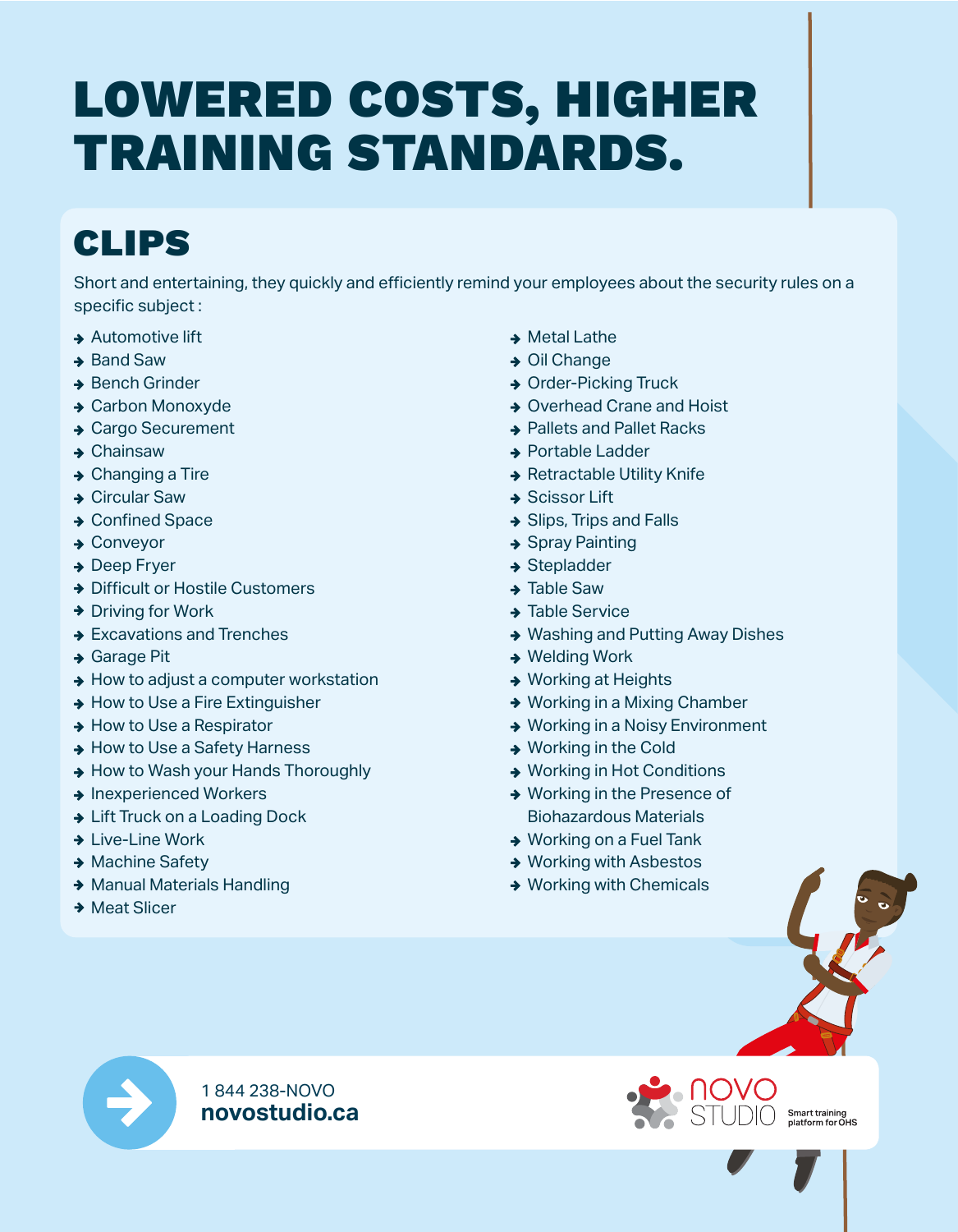## LOWERED COSTS, HIGHER TRAINING STANDARDS.

### CLIPS

Short and entertaining, they quickly and efficiently remind your employees about the security rules on a specific subject :

- **→ Automotive lift**
- $\rightarrow$  Band Saw
- **→ Bench Grinder**
- **→ Carbon Monoxyde**
- **→ Cargo Securement**
- **→ Chainsaw**
- **→ Changing a Tire**
- **→ Circular Saw**
- **→ Confined Space**
- **→ Conveyor**
- **→ Deep Fryer**
- **→ Difficult or Hostile Customers**
- $\rightarrow$  Driving for Work
- **→ Excavations and Trenches**
- **→ Garage Pit**
- $\rightarrow$  How to adjust a computer workstation
- **→ How to Use a Fire Extinguisher**
- **→ How to Use a Respirator**
- **→ How to Use a Safety Harness**
- **→ How to Wash your Hands Thoroughly**
- **→ Inexperienced Workers**
- **→ Lift Truck on a Loading Dock**
- **→ Live-Line Work**
- **→ Machine Safety**
- ◆ Manual Materials Handling
- **→ Meat Slicer**
- **→ Metal Lathe**
- **→ Oil Change**
- **→ Order-Picking Truck**
- **→ Overhead Crane and Hoist**
- **→ Pallets and Pallet Racks**
- **→ Portable Ladder**
- **→ Retractable Utility Knife**
- **→ Scissor Lift**
- **→ Slips, Trips and Falls**
- **→ Spray Painting**
- $\rightarrow$  Stepladder
- $\rightarrow$  Table Saw
- **→ Table Service**
- ◆ Washing and Putting Away Dishes
- **→ Welding Work**
- **→ Working at Heights**
- **→ Working in a Mixing Chamber**
- **→ Working in a Noisy Environment**
- **→ Working in the Cold**
- **→ Working in Hot Conditions**
- **→ Working in the Presence of** Biohazardous Materials
- **→ Working on a Fuel Tank**
- **→ Working with Asbestos**
- **→ Working with Chemicals**



1 844 238-NOVO **novostudio.ca** 



Smart training<br>platform for OHS